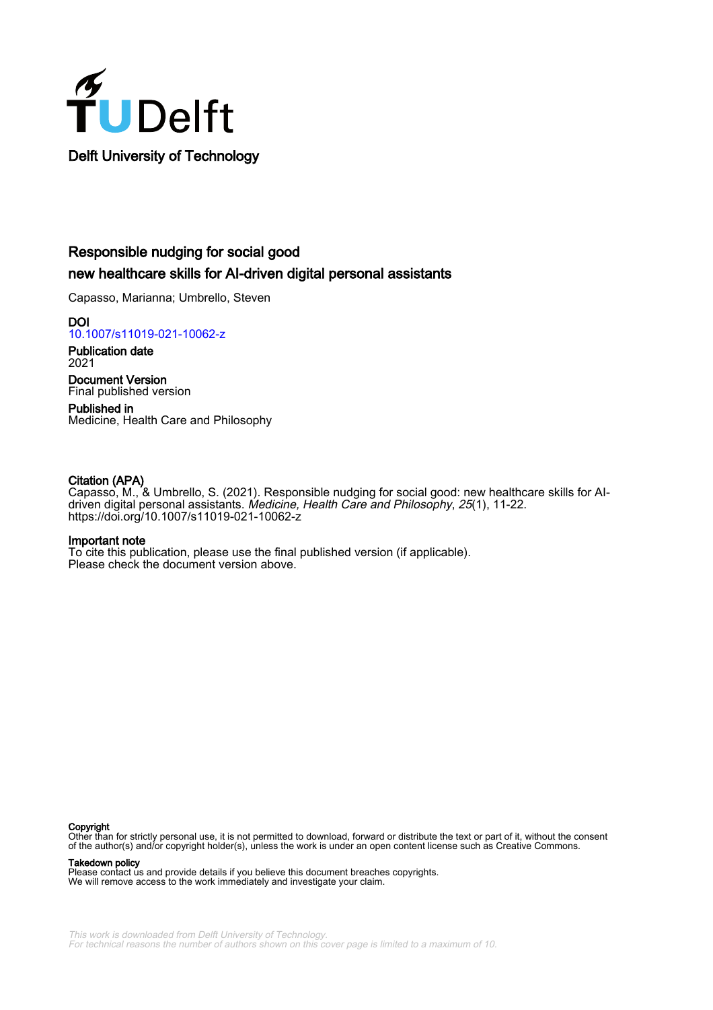

# Responsible nudging for social good new healthcare skills for AI-driven digital personal assistants

Capasso, Marianna; Umbrello, Steven

**DOI** [10.1007/s11019-021-10062-z](https://doi.org/10.1007/s11019-021-10062-z)

Publication date 2021

Document Version Final published version

Published in Medicine, Health Care and Philosophy

# Citation (APA)

Capasso, M., & Umbrello, S. (2021). Responsible nudging for social good: new healthcare skills for AIdriven digital personal assistants. Medicine, Health Care and Philosophy, 25(1), 11-22. <https://doi.org/10.1007/s11019-021-10062-z>

# Important note

To cite this publication, please use the final published version (if applicable). Please check the document version above.

#### Copyright

Other than for strictly personal use, it is not permitted to download, forward or distribute the text or part of it, without the consent of the author(s) and/or copyright holder(s), unless the work is under an open content license such as Creative Commons.

Takedown policy

Please contact us and provide details if you believe this document breaches copyrights. We will remove access to the work immediately and investigate your claim.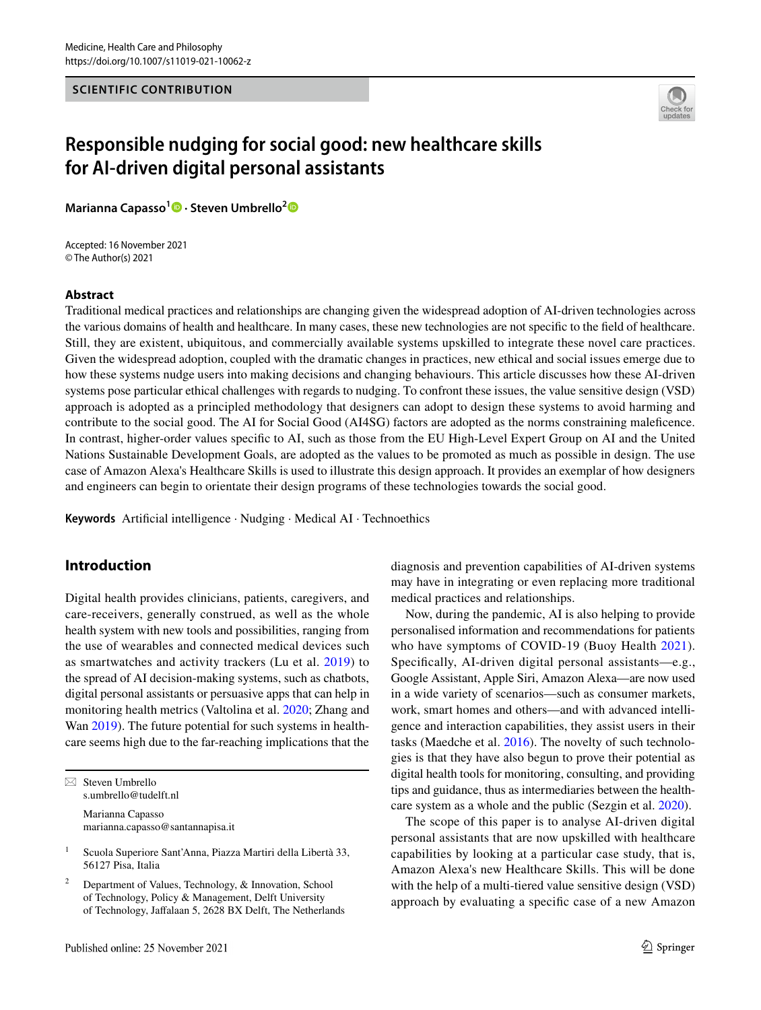### **SCIENTIFIC CONTRIBUTION**



# **Responsible nudging for social good: new healthcare skills for AI‑driven digital personal assistants**

**Marianna Capasso<sup>1</sup> · Steven Umbrello[2](http://orcid.org/0000-0003-2594-6313)**

Accepted: 16 November 2021 © The Author(s) 2021

### **Abstract**

Traditional medical practices and relationships are changing given the widespread adoption of AI-driven technologies across the various domains of health and healthcare. In many cases, these new technologies are not specifc to the feld of healthcare. Still, they are existent, ubiquitous, and commercially available systems upskilled to integrate these novel care practices. Given the widespread adoption, coupled with the dramatic changes in practices, new ethical and social issues emerge due to how these systems nudge users into making decisions and changing behaviours. This article discusses how these AI-driven systems pose particular ethical challenges with regards to nudging. To confront these issues, the value sensitive design (VSD) approach is adopted as a principled methodology that designers can adopt to design these systems to avoid harming and contribute to the social good. The AI for Social Good (AI4SG) factors are adopted as the norms constraining malefcence. In contrast, higher-order values specifc to AI, such as those from the EU High-Level Expert Group on AI and the United Nations Sustainable Development Goals, are adopted as the values to be promoted as much as possible in design. The use case of Amazon Alexa's Healthcare Skills is used to illustrate this design approach. It provides an exemplar of how designers and engineers can begin to orientate their design programs of these technologies towards the social good.

**Keywords** Artifcial intelligence · Nudging · Medical AI · Technoethics

# **Introduction**

Digital health provides clinicians, patients, caregivers, and care-receivers, generally construed, as well as the whole health system with new tools and possibilities, ranging from the use of wearables and connected medical devices such as smartwatches and activity trackers (Lu et al. [2019](#page-11-0)) to the spread of AI decision-making systems, such as chatbots, digital personal assistants or persuasive apps that can help in monitoring health metrics (Valtolina et al. [2020](#page-12-0); Zhang and Wan [2019\)](#page-12-1). The future potential for such systems in healthcare seems high due to the far-reaching implications that the

 $\boxtimes$  Steven Umbrello s.umbrello@tudelft.nl

> Marianna Capasso marianna.capasso@santannapisa.it

diagnosis and prevention capabilities of AI-driven systems may have in integrating or even replacing more traditional medical practices and relationships.

Now, during the pandemic, AI is also helping to provide personalised information and recommendations for patients who have symptoms of COVID-19 (Buoy Health [2021](#page-10-0)). Specifcally, AI-driven digital personal assistants—e.g., Google Assistant, Apple Siri, Amazon Alexa—are now used in a wide variety of scenarios—such as consumer markets, work, smart homes and others—and with advanced intelligence and interaction capabilities, they assist users in their tasks (Maedche et al. [2016\)](#page-11-1). The novelty of such technologies is that they have also begun to prove their potential as digital health tools for monitoring, consulting, and providing tips and guidance, thus as intermediaries between the healthcare system as a whole and the public (Sezgin et al. [2020\)](#page-11-2).

The scope of this paper is to analyse AI-driven digital personal assistants that are now upskilled with healthcare capabilities by looking at a particular case study, that is, Amazon Alexa's new Healthcare Skills. This will be done with the help of a multi-tiered value sensitive design (VSD) approach by evaluating a specifc case of a new Amazon

<sup>&</sup>lt;sup>1</sup> Scuola Superiore Sant'Anna, Piazza Martiri della Libertà 33, 56127 Pisa, Italia

Department of Values, Technology, & Innovation, School of Technology, Policy & Management, Delft University of Technology, Jafalaan 5, 2628 BX Delft, The Netherlands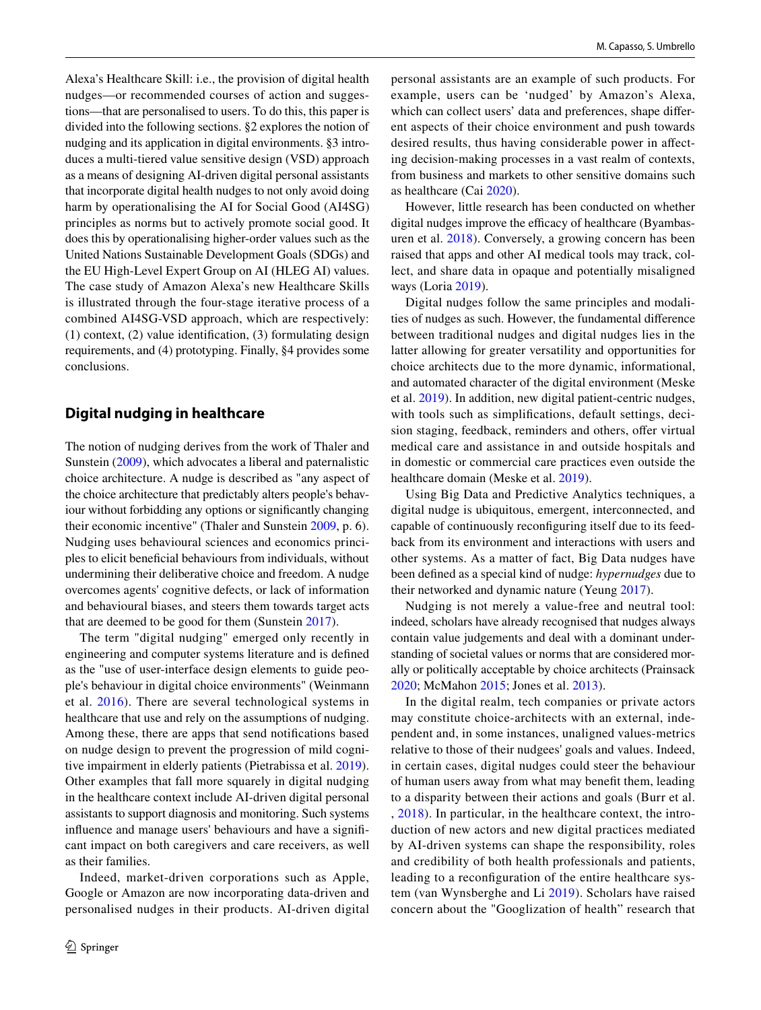Alexa's Healthcare Skill: i.e., the provision of digital health nudges—or recommended courses of action and suggestions—that are personalised to users. To do this, this paper is divided into the following sections. §2 explores the notion of nudging and its application in digital environments. §3 introduces a multi-tiered value sensitive design (VSD) approach as a means of designing AI-driven digital personal assistants that incorporate digital health nudges to not only avoid doing harm by operationalising the AI for Social Good (AI4SG) principles as norms but to actively promote social good. It does this by operationalising higher-order values such as the United Nations Sustainable Development Goals (SDGs) and the EU High-Level Expert Group on AI (HLEG AI) values. The case study of Amazon Alexa's new Healthcare Skills is illustrated through the four-stage iterative process of a combined AI4SG-VSD approach, which are respectively: (1) context, (2) value identifcation, (3) formulating design requirements, and (4) prototyping. Finally, §4 provides some conclusions.

# **Digital nudging in healthcare**

The notion of nudging derives from the work of Thaler and Sunstein [\(2009](#page-12-2)), which advocates a liberal and paternalistic choice architecture. A nudge is described as "any aspect of the choice architecture that predictably alters people's behaviour without forbidding any options or signifcantly changing their economic incentive" (Thaler and Sunstein [2009](#page-12-2), p. 6). Nudging uses behavioural sciences and economics principles to elicit benefcial behaviours from individuals, without undermining their deliberative choice and freedom. A nudge overcomes agents' cognitive defects, or lack of information and behavioural biases, and steers them towards target acts that are deemed to be good for them (Sunstein [2017\)](#page-12-3).

The term "digital nudging" emerged only recently in engineering and computer systems literature and is defned as the "use of user-interface design elements to guide people's behaviour in digital choice environments" (Weinmann et al. [2016](#page-12-4)). There are several technological systems in healthcare that use and rely on the assumptions of nudging. Among these, there are apps that send notifcations based on nudge design to prevent the progression of mild cognitive impairment in elderly patients (Pietrabissa et al. [2019](#page-11-3)). Other examples that fall more squarely in digital nudging in the healthcare context include AI-driven digital personal assistants to support diagnosis and monitoring. Such systems infuence and manage users' behaviours and have a signifcant impact on both caregivers and care receivers, as well as their families.

Indeed, market-driven corporations such as Apple, Google or Amazon are now incorporating data-driven and personalised nudges in their products. AI-driven digital

personal assistants are an example of such products. For example, users can be 'nudged' by Amazon's Alexa, which can collect users' data and preferences, shape diferent aspects of their choice environment and push towards desired results, thus having considerable power in afecting decision-making processes in a vast realm of contexts, from business and markets to other sensitive domains such as healthcare (Cai [2020](#page-10-1)).

However, little research has been conducted on whether digital nudges improve the efficacy of healthcare (Byambasuren et al. [2018](#page-10-2)). Conversely, a growing concern has been raised that apps and other AI medical tools may track, collect, and share data in opaque and potentially misaligned ways (Loria [2019\)](#page-11-4).

Digital nudges follow the same principles and modalities of nudges as such. However, the fundamental diference between traditional nudges and digital nudges lies in the latter allowing for greater versatility and opportunities for choice architects due to the more dynamic, informational, and automated character of the digital environment (Meske et al. [2019](#page-11-5)). In addition, new digital patient-centric nudges, with tools such as simplifications, default settings, decision staging, feedback, reminders and others, offer virtual medical care and assistance in and outside hospitals and in domestic or commercial care practices even outside the healthcare domain (Meske et al. [2019\)](#page-11-5).

Using Big Data and Predictive Analytics techniques, a digital nudge is ubiquitous, emergent, interconnected, and capable of continuously reconfguring itself due to its feedback from its environment and interactions with users and other systems. As a matter of fact, Big Data nudges have been defned as a special kind of nudge: *hypernudges* due to their networked and dynamic nature (Yeung [2017\)](#page-12-5).

Nudging is not merely a value-free and neutral tool: indeed, scholars have already recognised that nudges always contain value judgements and deal with a dominant understanding of societal values or norms that are considered morally or politically acceptable by choice architects (Prainsack [2020](#page-11-6); McMahon [2015](#page-11-7); Jones et al. [2013](#page-11-8)).

In the digital realm, tech companies or private actors may constitute choice-architects with an external, independent and, in some instances, unaligned values-metrics relative to those of their nudgees' goals and values. Indeed, in certain cases, digital nudges could steer the behaviour of human users away from what may beneft them, leading to a disparity between their actions and goals (Burr et al. , [2018](#page-10-3)). In particular, in the healthcare context, the introduction of new actors and new digital practices mediated by AI-driven systems can shape the responsibility, roles and credibility of both health professionals and patients, leading to a reconfguration of the entire healthcare system (van Wynsberghe and Li [2019](#page-12-6)). Scholars have raised concern about the "Googlization of health" research that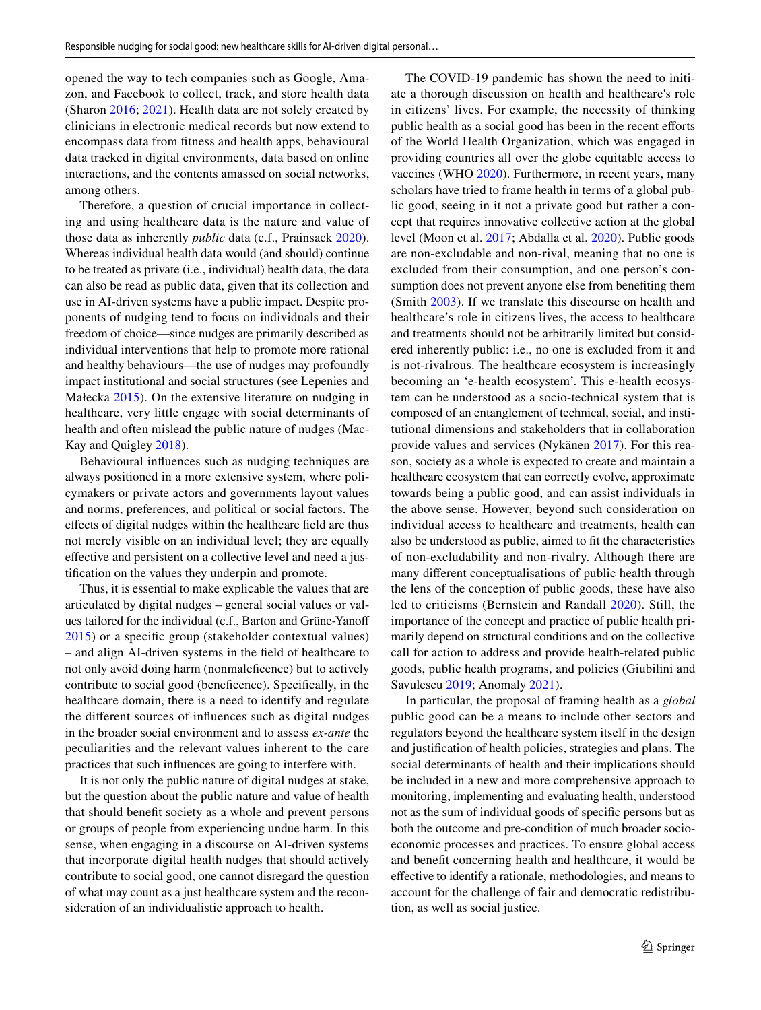opened the way to tech companies such as Google, Amazon, and Facebook to collect, track, and store health data (Sharon [2016](#page-11-9); [2021](#page-11-10)). Health data are not solely created by clinicians in electronic medical records but now extend to encompass data from ftness and health apps, behavioural data tracked in digital environments, data based on online interactions, and the contents amassed on social networks, among others.

Therefore, a question of crucial importance in collecting and using healthcare data is the nature and value of those data as inherently *public* data (c.f., Prainsack [2020](#page-11-6)). Whereas individual health data would (and should) continue to be treated as private (i.e., individual) health data, the data can also be read as public data, given that its collection and use in AI-driven systems have a public impact. Despite proponents of nudging tend to focus on individuals and their freedom of choice—since nudges are primarily described as individual interventions that help to promote more rational and healthy behaviours—the use of nudges may profoundly impact institutional and social structures (see Lepenies and Małecka [2015\)](#page-11-11). On the extensive literature on nudging in healthcare, very little engage with social determinants of health and often mislead the public nature of nudges (Mac-Kay and Quigley [2018\)](#page-11-12).

Behavioural infuences such as nudging techniques are always positioned in a more extensive system, where policymakers or private actors and governments layout values and norms, preferences, and political or social factors. The efects of digital nudges within the healthcare feld are thus not merely visible on an individual level; they are equally efective and persistent on a collective level and need a justifcation on the values they underpin and promote.

Thus, it is essential to make explicable the values that are articulated by digital nudges – general social values or values tailored for the individual (c.f., Barton and Grüne-Yanof [2015\)](#page-10-4) or a specifc group (stakeholder contextual values) – and align AI-driven systems in the feld of healthcare to not only avoid doing harm (nonmalefcence) but to actively contribute to social good (benefcence). Specifcally, in the healthcare domain, there is a need to identify and regulate the diferent sources of infuences such as digital nudges in the broader social environment and to assess *ex-ante* the peculiarities and the relevant values inherent to the care practices that such infuences are going to interfere with.

It is not only the public nature of digital nudges at stake, but the question about the public nature and value of health that should beneft society as a whole and prevent persons or groups of people from experiencing undue harm. In this sense, when engaging in a discourse on AI-driven systems that incorporate digital health nudges that should actively contribute to social good, one cannot disregard the question of what may count as a just healthcare system and the reconsideration of an individualistic approach to health.

The COVID-19 pandemic has shown the need to initiate a thorough discussion on health and healthcare's role in citizens' lives. For example, the necessity of thinking public health as a social good has been in the recent efforts of the World Health Organization, which was engaged in providing countries all over the globe equitable access to vaccines (WHO [2020\)](#page-12-7). Furthermore, in recent years, many scholars have tried to frame health in terms of a global public good, seeing in it not a private good but rather a concept that requires innovative collective action at the global level (Moon et al. [2017;](#page-11-13) Abdalla et al. [2020](#page-10-5)). Public goods are non-excludable and non-rival, meaning that no one is excluded from their consumption, and one person's consumption does not prevent anyone else from benefting them (Smith [2003\)](#page-11-14). If we translate this discourse on health and healthcare's role in citizens lives, the access to healthcare and treatments should not be arbitrarily limited but considered inherently public: i.e., no one is excluded from it and is not-rivalrous. The healthcare ecosystem is increasingly becoming an 'e-health ecosystem'. This e-health ecosystem can be understood as a socio-technical system that is composed of an entanglement of technical, social, and institutional dimensions and stakeholders that in collaboration provide values and services (Nykänen [2017](#page-11-15)). For this reason, society as a whole is expected to create and maintain a healthcare ecosystem that can correctly evolve, approximate towards being a public good, and can assist individuals in the above sense. However, beyond such consideration on individual access to healthcare and treatments, health can also be understood as public, aimed to ft the characteristics of non-excludability and non-rivalry. Although there are many diferent conceptualisations of public health through the lens of the conception of public goods, these have also led to criticisms (Bernstein and Randall [2020\)](#page-10-6). Still, the importance of the concept and practice of public health primarily depend on structural conditions and on the collective call for action to address and provide health-related public goods, public health programs, and policies (Giubilini and Savulescu [2019](#page-11-16); Anomaly [2021\)](#page-10-7).

In particular, the proposal of framing health as a *global* public good can be a means to include other sectors and regulators beyond the healthcare system itself in the design and justifcation of health policies, strategies and plans. The social determinants of health and their implications should be included in a new and more comprehensive approach to monitoring, implementing and evaluating health, understood not as the sum of individual goods of specifc persons but as both the outcome and pre-condition of much broader socioeconomic processes and practices. To ensure global access and beneft concerning health and healthcare, it would be efective to identify a rationale, methodologies, and means to account for the challenge of fair and democratic redistribution, as well as social justice.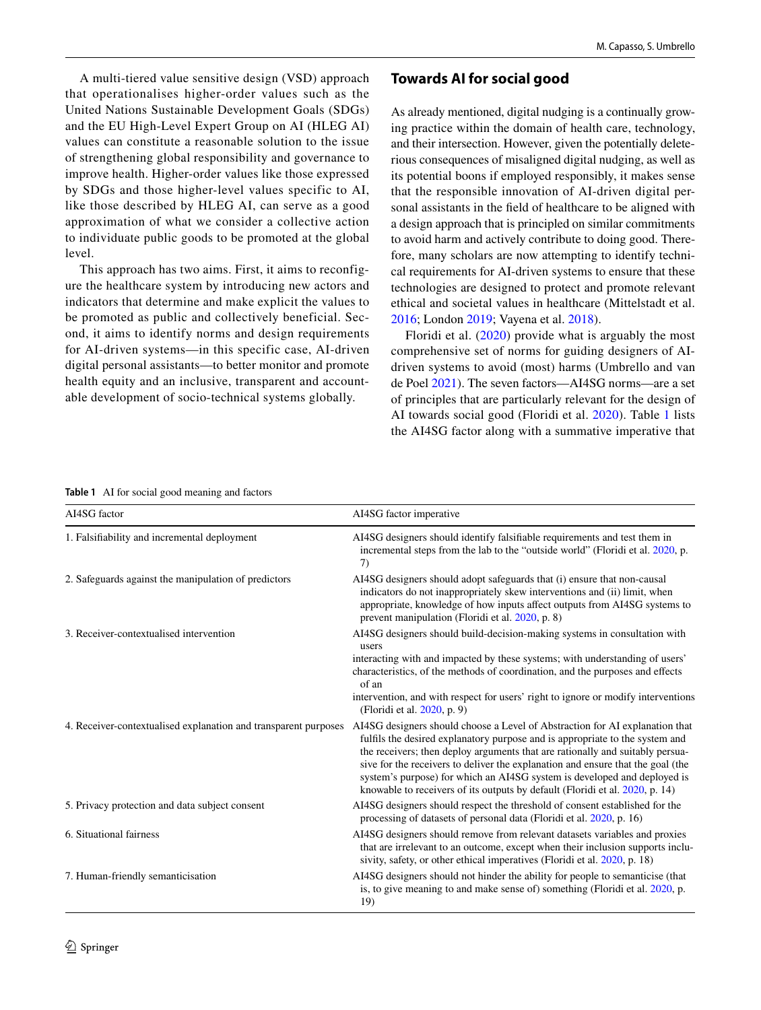A multi-tiered value sensitive design (VSD) approach that operationalises higher-order values such as the United Nations Sustainable Development Goals (SDGs) and the EU High-Level Expert Group on AI (HLEG AI) values can constitute a reasonable solution to the issue of strengthening global responsibility and governance to improve health. Higher-order values like those expressed by SDGs and those higher-level values specific to AI, like those described by HLEG AI, can serve as a good approximation of what we consider a collective action to individuate public goods to be promoted at the global level.

This approach has two aims. First, it aims to reconfigure the healthcare system by introducing new actors and indicators that determine and make explicit the values to be promoted as public and collectively beneficial. Second, it aims to identify norms and design requirements for AI-driven systems—in this specific case, AI-driven digital personal assistants—to better monitor and promote health equity and an inclusive, transparent and accountable development of socio-technical systems globally.

# **Towards AI for social good**

As already mentioned, digital nudging is a continually growing practice within the domain of health care, technology, and their intersection. However, given the potentially deleterious consequences of misaligned digital nudging, as well as its potential boons if employed responsibly, it makes sense that the responsible innovation of AI-driven digital personal assistants in the feld of healthcare to be aligned with a design approach that is principled on similar commitments to avoid harm and actively contribute to doing good. Therefore, many scholars are now attempting to identify technical requirements for AI-driven systems to ensure that these technologies are designed to protect and promote relevant ethical and societal values in healthcare (Mittelstadt et al. [2016](#page-11-17); London [2019;](#page-11-18) Vayena et al. [2018](#page-12-8)).

Floridi et al. ([2020](#page-11-19)) provide what is arguably the most comprehensive set of norms for guiding designers of AIdriven systems to avoid (most) harms (Umbrello and van de Poel [2021\)](#page-12-9). The seven factors—AI4SG norms—are a set of principles that are particularly relevant for the design of AI towards social good (Floridi et al. [2020](#page-11-19)). Table [1](#page-4-0) lists the AI4SG factor along with a summative imperative that

#### <span id="page-4-0"></span>**Table 1** AI for social good meaning and factors

| AI4SG factor                                                    | AI4SG factor imperative                                                                                                                                                                                                                                                                                                                                                                                                                                                                      |
|-----------------------------------------------------------------|----------------------------------------------------------------------------------------------------------------------------------------------------------------------------------------------------------------------------------------------------------------------------------------------------------------------------------------------------------------------------------------------------------------------------------------------------------------------------------------------|
| 1. Falsifiability and incremental deployment                    | AI4SG designers should identify falsifiable requirements and test them in<br>incremental steps from the lab to the "outside world" (Floridi et al. 2020, p.<br>7)                                                                                                                                                                                                                                                                                                                            |
| 2. Safeguards against the manipulation of predictors            | AI4SG designers should adopt safeguards that (i) ensure that non-causal<br>indicators do not inappropriately skew interventions and (ii) limit, when<br>appropriate, knowledge of how inputs affect outputs from AI4SG systems to<br>prevent manipulation (Floridi et al. 2020, p. 8)                                                                                                                                                                                                        |
| 3. Receiver-contextualised intervention                         | AI4SG designers should build-decision-making systems in consultation with<br>users<br>interacting with and impacted by these systems; with understanding of users'<br>characteristics, of the methods of coordination, and the purposes and effects<br>of an<br>intervention, and with respect for users' right to ignore or modify interventions<br>(Floridi et al. 2020, p. 9)                                                                                                             |
| 4. Receiver-contextualised explanation and transparent purposes | AI4SG designers should choose a Level of Abstraction for AI explanation that<br>fulfils the desired explanatory purpose and is appropriate to the system and<br>the receivers; then deploy arguments that are rationally and suitably persua-<br>sive for the receivers to deliver the explanation and ensure that the goal (the<br>system's purpose) for which an AI4SG system is developed and deployed is<br>knowable to receivers of its outputs by default (Floridi et al. 2020, p. 14) |
| 5. Privacy protection and data subject consent                  | AI4SG designers should respect the threshold of consent established for the<br>processing of datasets of personal data (Floridi et al. 2020, p. 16)                                                                                                                                                                                                                                                                                                                                          |
| 6. Situational fairness                                         | AI4SG designers should remove from relevant datasets variables and proxies<br>that are irrelevant to an outcome, except when their inclusion supports inclu-<br>sivity, safety, or other ethical imperatives (Floridi et al. 2020, p. 18)                                                                                                                                                                                                                                                    |
| 7. Human-friendly semanticisation                               | AI4SG designers should not hinder the ability for people to semanticise (that<br>is, to give meaning to and make sense of) something (Floridi et al. 2020, p.<br>19)                                                                                                                                                                                                                                                                                                                         |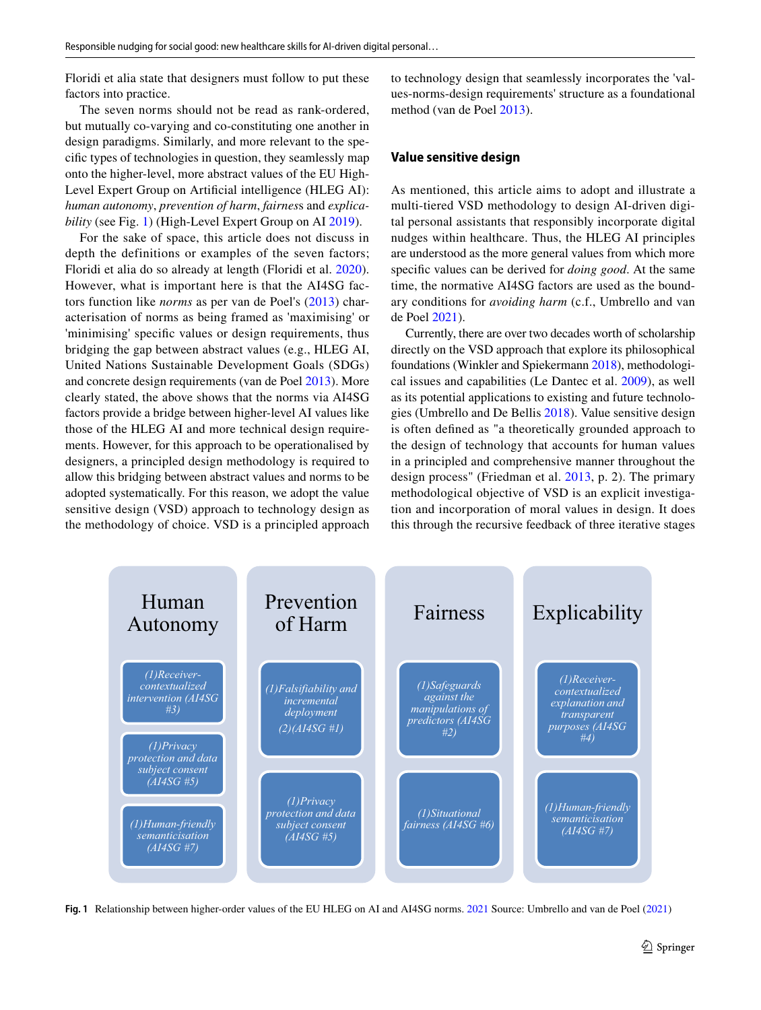Floridi et alia state that designers must follow to put these factors into practice.

The seven norms should not be read as rank-ordered, but mutually co-varying and co-constituting one another in design paradigms. Similarly, and more relevant to the specifc types of technologies in question, they seamlessly map onto the higher-level, more abstract values of the EU High-Level Expert Group on Artifcial intelligence (HLEG AI): *human autonomy*, *prevention of harm*, *fairnes*s and *explicability* (see Fig. [1](#page-5-0)) (High-Level Expert Group on AI [2019\)](#page-11-20).

For the sake of space, this article does not discuss in depth the definitions or examples of the seven factors; Floridi et alia do so already at length (Floridi et al. [2020](#page-11-19)). However, what is important here is that the AI4SG factors function like *norms* as per van de Poel's ([2013](#page-12-10)) characterisation of norms as being framed as 'maximising' or 'minimising' specifc values or design requirements, thus bridging the gap between abstract values (e.g., HLEG AI, United Nations Sustainable Development Goals (SDGs) and concrete design requirements (van de Poel [2013](#page-12-10)). More clearly stated, the above shows that the norms via AI4SG factors provide a bridge between higher-level AI values like those of the HLEG AI and more technical design requirements. However, for this approach to be operationalised by designers, a principled design methodology is required to allow this bridging between abstract values and norms to be adopted systematically. For this reason, we adopt the value sensitive design (VSD) approach to technology design as the methodology of choice. VSD is a principled approach to technology design that seamlessly incorporates the 'values-norms-design requirements' structure as a foundational method (van de Poel [2013](#page-12-10)).

#### **Value sensitive design**

As mentioned, this article aims to adopt and illustrate a multi-tiered VSD methodology to design AI-driven digital personal assistants that responsibly incorporate digital nudges within healthcare. Thus, the HLEG AI principles are understood as the more general values from which more specifc values can be derived for *doing good*. At the same time, the normative AI4SG factors are used as the boundary conditions for *avoiding harm* (c.f., Umbrello and van de Poel [2021\)](#page-12-9).

Currently, there are over two decades worth of scholarship directly on the VSD approach that explore its philosophical foundations (Winkler and Spiekermann [2018](#page-12-11)), methodological issues and capabilities (Le Dantec et al. [2009\)](#page-11-21), as well as its potential applications to existing and future technologies (Umbrello and De Bellis [2018](#page-12-12)). Value sensitive design is often defned as "a theoretically grounded approach to the design of technology that accounts for human values in a principled and comprehensive manner throughout the design process" (Friedman et al. [2013,](#page-11-22) p. 2). The primary methodological objective of VSD is an explicit investigation and incorporation of moral values in design. It does this through the recursive feedback of three iterative stages



<span id="page-5-0"></span>**Fig. 1** Relationship between higher-order values of the EU HLEG on AI and AI4SG norms. [2021](#page-12-9) Source: Umbrello and van de Poel [\(2021](#page-12-9))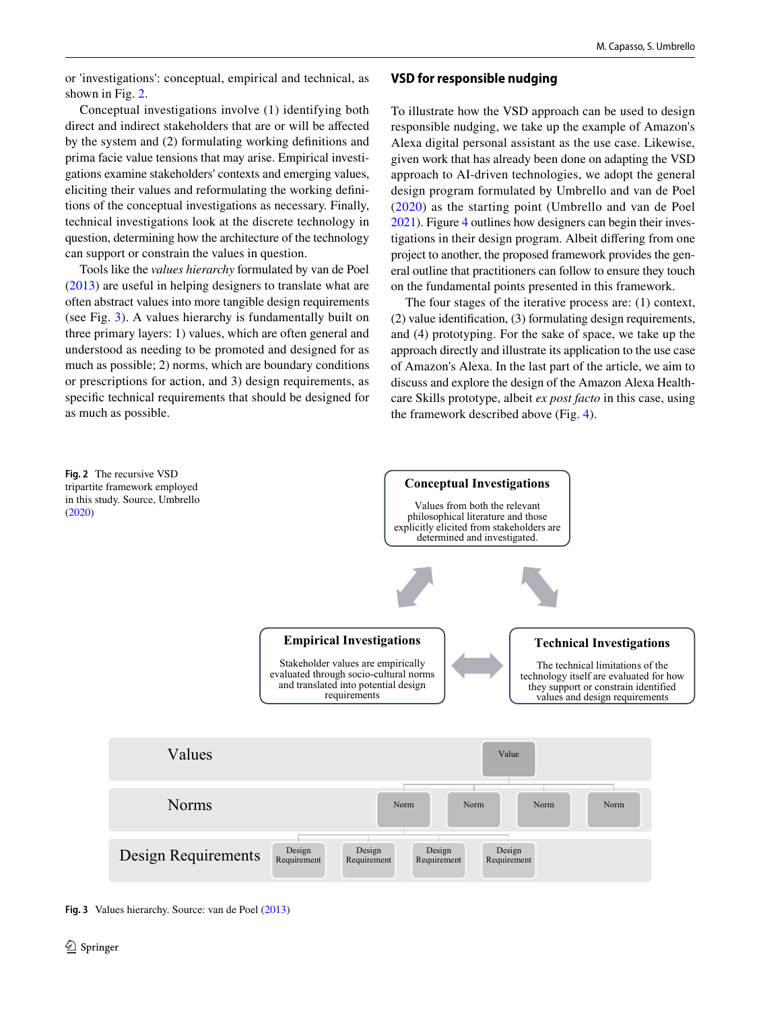or 'investigations': conceptual, empirical and technical, as shown in Fig. [2](#page-6-0).

Conceptual investigations involve (1) identifying both direct and indirect stakeholders that are or will be afected by the system and (2) formulating working defnitions and prima facie value tensions that may arise. Empirical investigations examine stakeholders' contexts and emerging values, eliciting their values and reformulating the working defnitions of the conceptual investigations as necessary. Finally, technical investigations look at the discrete technology in question, determining how the architecture of the technology can support or constrain the values in question.

Tools like the *values hierarchy* formulated by van de Poel [\(2013\)](#page-12-10) are useful in helping designers to translate what are often abstract values into more tangible design requirements (see Fig. [3\)](#page-6-1). A values hierarchy is fundamentally built on three primary layers: 1) values, which are often general and understood as needing to be promoted and designed for as much as possible; 2) norms, which are boundary conditions or prescriptions for action, and 3) design requirements, as specifc technical requirements that should be designed for as much as possible.

# **VSD for responsible nudging**

To illustrate how the VSD approach can be used to design responsible nudging, we take up the example of Amazon's Alexa digital personal assistant as the use case. Likewise, given work that has already been done on adapting the VSD approach to AI-driven technologies, we adopt the general design program formulated by Umbrello and van de Poel ([2020\)](#page-12-9) as the starting point (Umbrello and van de Poel [2021\)](#page-12-9). Figure [4](#page-7-0) outlines how designers can begin their investigations in their design program. Albeit difering from one project to another, the proposed framework provides the general outline that practitioners can follow to ensure they touch on the fundamental points presented in this framework.

The four stages of the iterative process are: (1) context, (2) value identifcation, (3) formulating design requirements, and (4) prototyping. For the sake of space, we take up the approach directly and illustrate its application to the use case of Amazon's Alexa. In the last part of the article, we aim to discuss and explore the design of the Amazon Alexa Healthcare Skills prototype, albeit *ex post facto* in this case, using the framework described above (Fig. [4\)](#page-7-0).

<span id="page-6-0"></span>

<span id="page-6-1"></span>**Fig. 3** Values hierarchy. Source: van de Poel [\(2013](#page-12-10))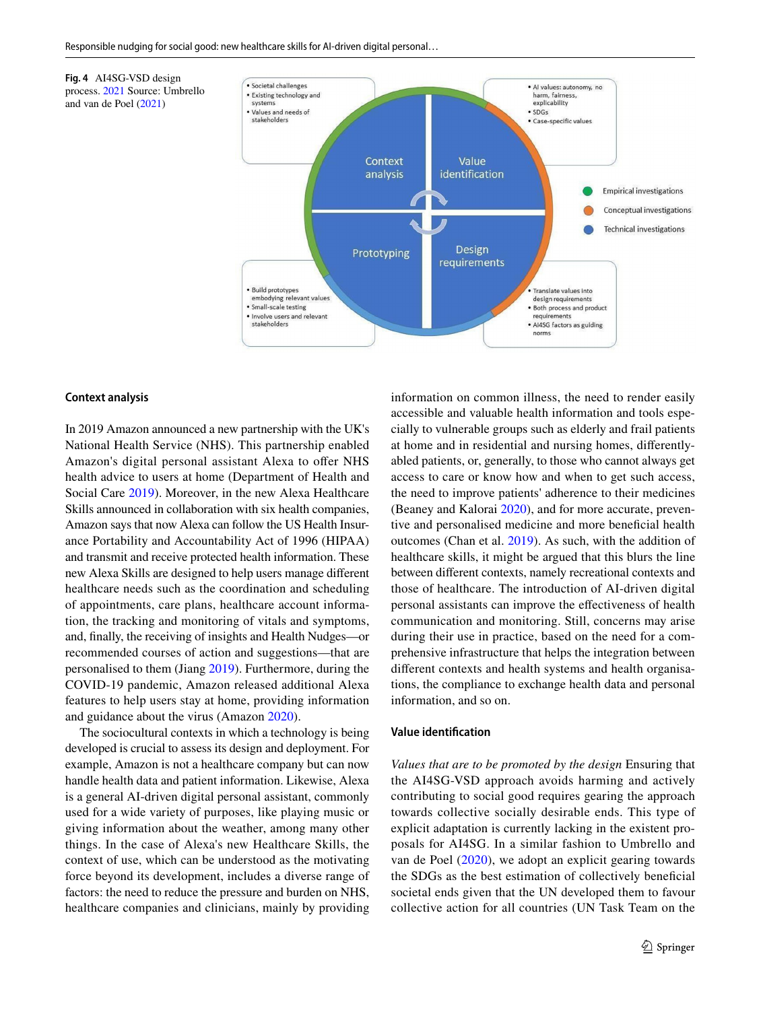

#### **Context analysis**

<span id="page-7-0"></span>**Fig. 4** AI4SG-VSD design

and van de Poel ([2021\)](#page-12-9)

In 2019 Amazon announced a new partnership with the UK's National Health Service (NHS). This partnership enabled Amazon's digital personal assistant Alexa to offer NHS health advice to users at home (Department of Health and Social Care [2019\)](#page-11-23). Moreover, in the new Alexa Healthcare Skills announced in collaboration with six health companies, Amazon says that now Alexa can follow the US Health Insurance Portability and Accountability Act of 1996 (HIPAA) and transmit and receive protected health information. These new Alexa Skills are designed to help users manage diferent healthcare needs such as the coordination and scheduling of appointments, care plans, healthcare account information, the tracking and monitoring of vitals and symptoms, and, fnally, the receiving of insights and Health Nudges—or recommended courses of action and suggestions—that are personalised to them (Jiang [2019\)](#page-11-24). Furthermore, during the COVID-19 pandemic, Amazon released additional Alexa features to help users stay at home, providing information and guidance about the virus (Amazon [2020\)](#page-10-8).

The sociocultural contexts in which a technology is being developed is crucial to assess its design and deployment. For example, Amazon is not a healthcare company but can now handle health data and patient information. Likewise, Alexa is a general AI-driven digital personal assistant, commonly used for a wide variety of purposes, like playing music or giving information about the weather, among many other things. In the case of Alexa's new Healthcare Skills, the context of use, which can be understood as the motivating force beyond its development, includes a diverse range of factors: the need to reduce the pressure and burden on NHS, healthcare companies and clinicians, mainly by providing information on common illness, the need to render easily accessible and valuable health information and tools especially to vulnerable groups such as elderly and frail patients at home and in residential and nursing homes, diferentlyabled patients, or, generally, to those who cannot always get access to care or know how and when to get such access, the need to improve patients' adherence to their medicines (Beaney and Kalorai [2020](#page-10-9)), and for more accurate, preventive and personalised medicine and more benefcial health outcomes (Chan et al. [2019\)](#page-11-25). As such, with the addition of healthcare skills, it might be argued that this blurs the line between diferent contexts, namely recreational contexts and those of healthcare. The introduction of AI-driven digital personal assistants can improve the efectiveness of health communication and monitoring. Still, concerns may arise during their use in practice, based on the need for a comprehensive infrastructure that helps the integration between diferent contexts and health systems and health organisations, the compliance to exchange health data and personal information, and so on.

### **Value identifcation**

*Values that are to be promoted by the design* Ensuring that the AI4SG-VSD approach avoids harming and actively contributing to social good requires gearing the approach towards collective socially desirable ends. This type of explicit adaptation is currently lacking in the existent proposals for AI4SG. In a similar fashion to Umbrello and van de Poel [\(2020\)](#page-12-13), we adopt an explicit gearing towards the SDGs as the best estimation of collectively benefcial societal ends given that the UN developed them to favour collective action for all countries (UN Task Team on the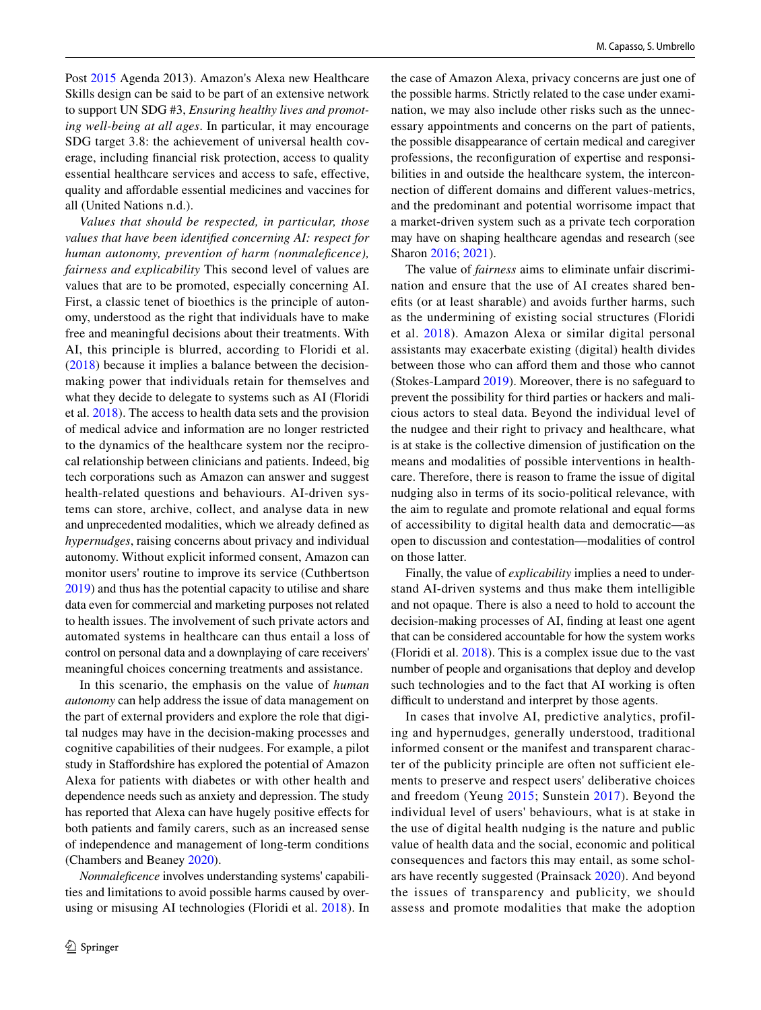Post [2015](#page-12-14) Agenda 2013). Amazon's Alexa new Healthcare Skills design can be said to be part of an extensive network to support UN SDG #3, *Ensuring healthy lives and promoting well-being at all ages*. In particular, it may encourage SDG target 3.8: the achievement of universal health coverage, including fnancial risk protection, access to quality essential healthcare services and access to safe, efective, quality and afordable essential medicines and vaccines for all (United Nations n.d.).

*Values that should be respected, in particular, those values that have been identifed concerning AI: respect for human autonomy, prevention of harm (nonmalefcence), fairness and explicability* This second level of values are values that are to be promoted, especially concerning AI. First, a classic tenet of bioethics is the principle of autonomy, understood as the right that individuals have to make free and meaningful decisions about their treatments. With AI, this principle is blurred, according to Floridi et al. [\(2018\)](#page-11-26) because it implies a balance between the decisionmaking power that individuals retain for themselves and what they decide to delegate to systems such as AI (Floridi et al. [2018\)](#page-11-26). The access to health data sets and the provision of medical advice and information are no longer restricted to the dynamics of the healthcare system nor the reciprocal relationship between clinicians and patients. Indeed, big tech corporations such as Amazon can answer and suggest health-related questions and behaviours. AI-driven systems can store, archive, collect, and analyse data in new and unprecedented modalities, which we already defned as *hypernudges*, raising concerns about privacy and individual autonomy. Without explicit informed consent, Amazon can monitor users' routine to improve its service (Cuthbertson [2019\)](#page-11-27) and thus has the potential capacity to utilise and share data even for commercial and marketing purposes not related to health issues. The involvement of such private actors and automated systems in healthcare can thus entail a loss of control on personal data and a downplaying of care receivers' meaningful choices concerning treatments and assistance.

In this scenario, the emphasis on the value of *human autonomy* can help address the issue of data management on the part of external providers and explore the role that digital nudges may have in the decision-making processes and cognitive capabilities of their nudgees. For example, a pilot study in Stafordshire has explored the potential of Amazon Alexa for patients with diabetes or with other health and dependence needs such as anxiety and depression. The study has reported that Alexa can have hugely positive efects for both patients and family carers, such as an increased sense of independence and management of long-term conditions (Chambers and Beaney [2020](#page-11-28)).

*Nonmalefcence* involves understanding systems' capabilities and limitations to avoid possible harms caused by overusing or misusing AI technologies (Floridi et al. [2018\)](#page-11-26). In the case of Amazon Alexa, privacy concerns are just one of the possible harms. Strictly related to the case under examination, we may also include other risks such as the unnecessary appointments and concerns on the part of patients, the possible disappearance of certain medical and caregiver professions, the reconfguration of expertise and responsibilities in and outside the healthcare system, the interconnection of diferent domains and diferent values-metrics, and the predominant and potential worrisome impact that a market-driven system such as a private tech corporation may have on shaping healthcare agendas and research (see Sharon [2016](#page-11-9); [2021\)](#page-11-10).

The value of *fairness* aims to eliminate unfair discrimination and ensure that the use of AI creates shared benefts (or at least sharable) and avoids further harms, such as the undermining of existing social structures (Floridi et al. [2018\)](#page-11-26). Amazon Alexa or similar digital personal assistants may exacerbate existing (digital) health divides between those who can afford them and those who cannot (Stokes-Lampard [2019\)](#page-11-29). Moreover, there is no safeguard to prevent the possibility for third parties or hackers and malicious actors to steal data. Beyond the individual level of the nudgee and their right to privacy and healthcare, what is at stake is the collective dimension of justifcation on the means and modalities of possible interventions in healthcare. Therefore, there is reason to frame the issue of digital nudging also in terms of its socio-political relevance, with the aim to regulate and promote relational and equal forms of accessibility to digital health data and democratic—as open to discussion and contestation—modalities of control on those latter.

Finally, the value of *explicability* implies a need to understand AI-driven systems and thus make them intelligible and not opaque. There is also a need to hold to account the decision-making processes of AI, fnding at least one agent that can be considered accountable for how the system works (Floridi et al. [2018\)](#page-11-26). This is a complex issue due to the vast number of people and organisations that deploy and develop such technologies and to the fact that AI working is often difficult to understand and interpret by those agents.

In cases that involve AI, predictive analytics, profiling and hypernudges, generally understood, traditional informed consent or the manifest and transparent character of the publicity principle are often not sufficient elements to preserve and respect users' deliberative choices and freedom (Yeung [2015;](#page-12-15) Sunstein [2017](#page-12-3)). Beyond the individual level of users' behaviours, what is at stake in the use of digital health nudging is the nature and public value of health data and the social, economic and political consequences and factors this may entail, as some scholars have recently suggested (Prainsack [2020](#page-11-6)). And beyond the issues of transparency and publicity, we should assess and promote modalities that make the adoption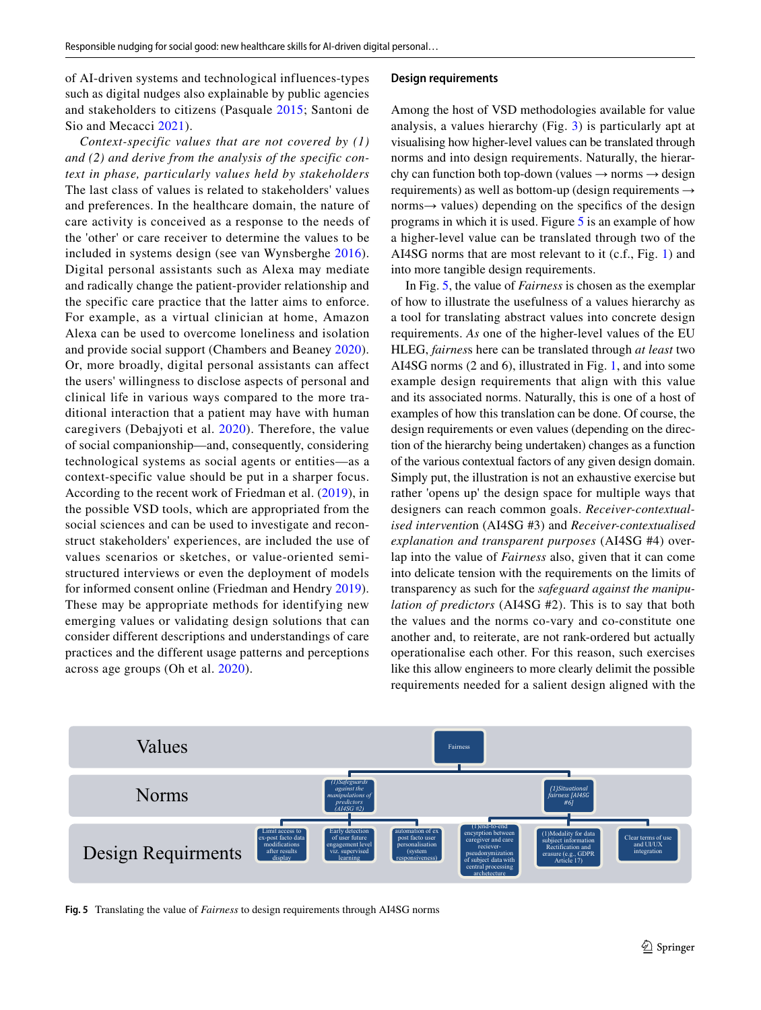of AI-driven systems and technological influences-types such as digital nudges also explainable by public agencies and stakeholders to citizens (Pasquale [2015;](#page-11-30) Santoni de Sio and Mecacci [2021\)](#page-11-31).

*Context-specific values that are not covered by (1) and (2) and derive from the analysis of the specific context in phase, particularly values held by stakeholders* The last class of values is related to stakeholders' values and preferences. In the healthcare domain, the nature of care activity is conceived as a response to the needs of the 'other' or care receiver to determine the values to be included in systems design (see van Wynsberghe [2016](#page-12-16)). Digital personal assistants such as Alexa may mediate and radically change the patient-provider relationship and the specific care practice that the latter aims to enforce. For example, as a virtual clinician at home, Amazon Alexa can be used to overcome loneliness and isolation and provide social support (Chambers and Beaney [2020](#page-11-28)). Or, more broadly, digital personal assistants can affect the users' willingness to disclose aspects of personal and clinical life in various ways compared to the more traditional interaction that a patient may have with human caregivers (Debajyoti et al. [2020\)](#page-11-32). Therefore, the value of social companionship—and, consequently, considering technological systems as social agents or entities—as a context-specific value should be put in a sharper focus. According to the recent work of Friedman et al. ([2019\)](#page-11-33), in the possible VSD tools, which are appropriated from the social sciences and can be used to investigate and reconstruct stakeholders' experiences, are included the use of values scenarios or sketches, or value-oriented semistructured interviews or even the deployment of models for informed consent online (Friedman and Hendry [2019](#page-11-33)). These may be appropriate methods for identifying new emerging values or validating design solutions that can consider different descriptions and understandings of care practices and the different usage patterns and perceptions across age groups (Oh et al. [2020\)](#page-11-34).

#### **Design requirements**

Among the host of VSD methodologies available for value analysis, a values hierarchy (Fig. [3\)](#page-6-1) is particularly apt at visualising how higher-level values can be translated through norms and into design requirements. Naturally, the hierarchy can function both top-down (values  $\rightarrow$  norms  $\rightarrow$  design requirements) as well as bottom-up (design requirements → norms $\rightarrow$  values) depending on the specifics of the design programs in which it is used. Figure [5](#page-9-0) is an example of how a higher-level value can be translated through two of the AI4SG norms that are most relevant to it (c.f., Fig. [1](#page-5-0)) and into more tangible design requirements.

In Fig. [5](#page-9-0), the value of *Fairness* is chosen as the exemplar of how to illustrate the usefulness of a values hierarchy as a tool for translating abstract values into concrete design requirements. *As* one of the higher-level values of the EU HLEG, *fairnes*s here can be translated through *at least* two AI4SG norms (2 and 6), illustrated in Fig. [1,](#page-5-0) and into some example design requirements that align with this value and its associated norms. Naturally, this is one of a host of examples of how this translation can be done. Of course, the design requirements or even values (depending on the direction of the hierarchy being undertaken) changes as a function of the various contextual factors of any given design domain. Simply put, the illustration is not an exhaustive exercise but rather 'opens up' the design space for multiple ways that designers can reach common goals. *Receiver-contextualised interventio*n (AI4SG #3) and *Receiver-contextualised explanation and transparent purposes* (AI4SG #4) overlap into the value of *Fairness* also, given that it can come into delicate tension with the requirements on the limits of transparency as such for the *safeguard against the manipulation of predictors* (AI4SG #2). This is to say that both the values and the norms co-vary and co-constitute one another and, to reiterate, are not rank-ordered but actually operationalise each other. For this reason, such exercises like this allow engineers to more clearly delimit the possible requirements needed for a salient design aligned with the



<span id="page-9-0"></span>**Fig. 5** Translating the value of *Fairness* to design requirements through AI4SG norms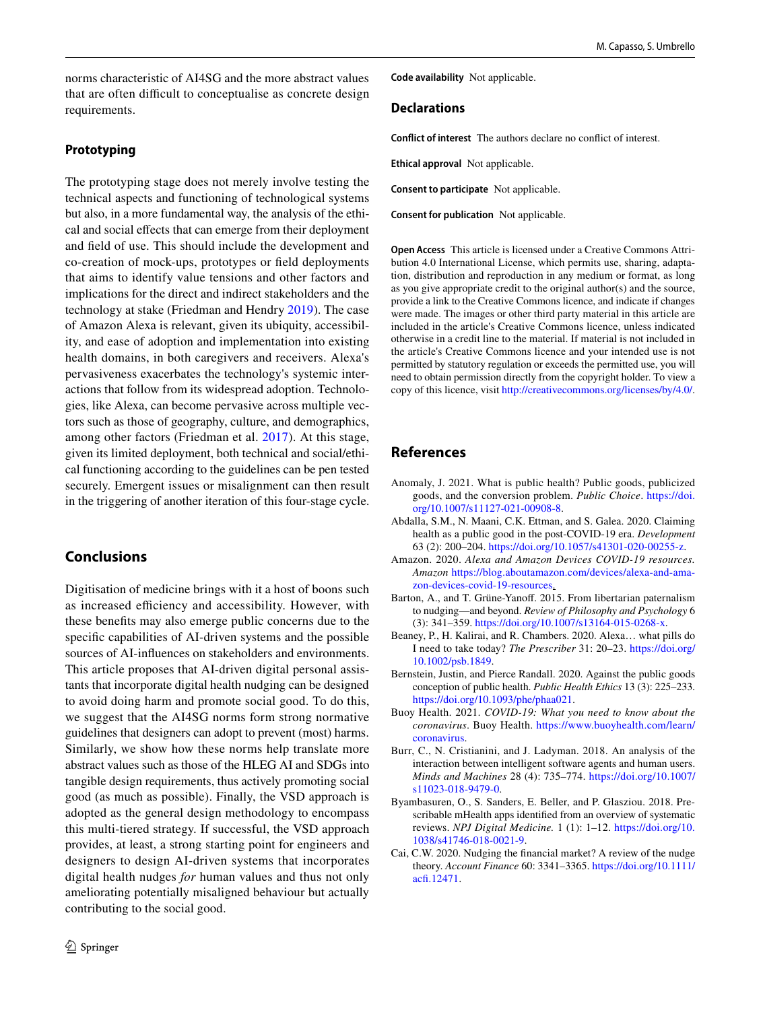norms characteristic of AI4SG and the more abstract values that are often difficult to conceptualise as concrete design requirements.

### **Prototyping**

The prototyping stage does not merely involve testing the technical aspects and functioning of technological systems but also, in a more fundamental way, the analysis of the ethical and social efects that can emerge from their deployment and feld of use. This should include the development and co-creation of mock-ups, prototypes or feld deployments that aims to identify value tensions and other factors and implications for the direct and indirect stakeholders and the technology at stake (Friedman and Hendry [2019](#page-11-33)). The case of Amazon Alexa is relevant, given its ubiquity, accessibility, and ease of adoption and implementation into existing health domains, in both caregivers and receivers. Alexa's pervasiveness exacerbates the technology's systemic interactions that follow from its widespread adoption. Technologies, like Alexa, can become pervasive across multiple vectors such as those of geography, culture, and demographics, among other factors (Friedman et al. [2017\)](#page-11-35). At this stage, given its limited deployment, both technical and social/ethical functioning according to the guidelines can be pen tested securely. Emergent issues or misalignment can then result in the triggering of another iteration of this four-stage cycle.

# **Conclusions**

Digitisation of medicine brings with it a host of boons such as increased efficiency and accessibility. However, with these benefts may also emerge public concerns due to the specifc capabilities of AI-driven systems and the possible sources of AI-infuences on stakeholders and environments. This article proposes that AI-driven digital personal assistants that incorporate digital health nudging can be designed to avoid doing harm and promote social good. To do this, we suggest that the AI4SG norms form strong normative guidelines that designers can adopt to prevent (most) harms. Similarly, we show how these norms help translate more abstract values such as those of the HLEG AI and SDGs into tangible design requirements, thus actively promoting social good (as much as possible). Finally, the VSD approach is adopted as the general design methodology to encompass this multi-tiered strategy. If successful, the VSD approach provides, at least, a strong starting point for engineers and designers to design AI-driven systems that incorporates digital health nudges *for* human values and thus not only ameliorating potentially misaligned behaviour but actually contributing to the social good.

**Code availability** Not applicable.

#### **Declarations**

**Conflict of interest** The authors declare no confict of interest.

**Ethical approval** Not applicable.

**Consent to participate** Not applicable.

**Consent for publication** Not applicable.

**Open Access** This article is licensed under a Creative Commons Attribution 4.0 International License, which permits use, sharing, adaptation, distribution and reproduction in any medium or format, as long as you give appropriate credit to the original author(s) and the source, provide a link to the Creative Commons licence, and indicate if changes were made. The images or other third party material in this article are included in the article's Creative Commons licence, unless indicated otherwise in a credit line to the material. If material is not included in the article's Creative Commons licence and your intended use is not permitted by statutory regulation or exceeds the permitted use, you will need to obtain permission directly from the copyright holder. To view a copy of this licence, visit<http://creativecommons.org/licenses/by/4.0/>.

# **References**

- <span id="page-10-7"></span>Anomaly, J. 2021. What is public health? Public goods, publicized goods, and the conversion problem. *Public Choice*. [https://doi.](https://doi.org/10.1007/s11127-021-00908-8) [org/10.1007/s11127-021-00908-8](https://doi.org/10.1007/s11127-021-00908-8).
- <span id="page-10-5"></span>Abdalla, S.M., N. Maani, C.K. Ettman, and S. Galea. 2020. Claiming health as a public good in the post-COVID-19 era. *Development* 63 (2): 200–204. <https://doi.org/10.1057/s41301-020-00255-z>.
- <span id="page-10-8"></span>Amazon. 2020. *Alexa and Amazon Devices COVID-19 resources. Amazon* [https://blog.aboutamazon.com/devices/alexa-and-ama](https://blog.aboutamazon.com/devices/alexa-and-amazon-devices-covid-19-resources)[zon-devices-covid-19-resources.](https://blog.aboutamazon.com/devices/alexa-and-amazon-devices-covid-19-resources)
- <span id="page-10-4"></span>Barton, A., and T. Grüne-Yanof. 2015. From libertarian paternalism to nudging—and beyond. *Review of Philosophy and Psychology* 6 (3): 341–359. [https://doi.org/10.1007/s13164-015-0268-x.](https://doi.org/10.1007/s13164-015-0268-x)
- <span id="page-10-9"></span>Beaney, P., H. Kalirai, and R. Chambers. 2020. Alexa… what pills do I need to take today? *The Prescriber* 31: 20–23. [https://doi.org/](https://doi.org/10.1002/psb.1849) [10.1002/psb.1849.](https://doi.org/10.1002/psb.1849)
- <span id="page-10-6"></span>Bernstein, Justin, and Pierce Randall. 2020. Against the public goods conception of public health. *Public Health Ethics* 13 (3): 225–233. <https://doi.org/10.1093/phe/phaa021>.
- <span id="page-10-0"></span>Buoy Health. 2021. *COVID-19: What you need to know about the coronavirus*. Buoy Health. [https://www.buoyhealth.com/learn/](https://www.buoyhealth.com/learn/coronavirus) [coronavirus.](https://www.buoyhealth.com/learn/coronavirus)
- <span id="page-10-3"></span>Burr, C., N. Cristianini, and J. Ladyman. 2018. An analysis of the interaction between intelligent software agents and human users. *Minds and Machines* 28 (4): 735–774. [https://doi.org/10.1007/](https://doi.org/10.1007/s11023-018-9479-0) [s11023-018-9479-0.](https://doi.org/10.1007/s11023-018-9479-0)
- <span id="page-10-2"></span>Byambasuren, O., S. Sanders, E. Beller, and P. Glasziou. 2018. Prescribable mHealth apps identifed from an overview of systematic reviews. *NPJ Digital Medicine.* 1 (1): 1–12. [https://doi.org/10.](https://doi.org/10.1038/s41746-018-0021-9) [1038/s41746-018-0021-9](https://doi.org/10.1038/s41746-018-0021-9).
- <span id="page-10-1"></span>Cai, C.W. 2020. Nudging the fnancial market? A review of the nudge theory. *Account Finance* 60: 3341–3365. [https://doi.org/10.1111/](https://doi.org/10.1111/acfi.12471) [acf.12471](https://doi.org/10.1111/acfi.12471).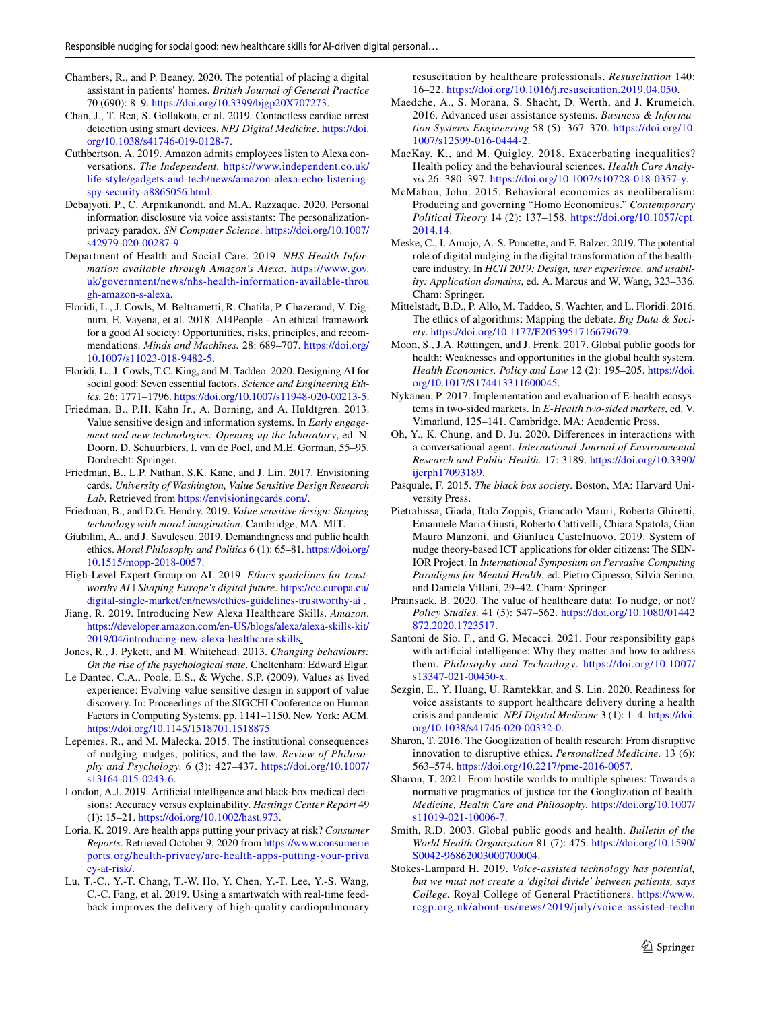- <span id="page-11-28"></span>Chambers, R., and P. Beaney. 2020. The potential of placing a digital assistant in patients' homes. *British Journal of General Practice* 70 (690): 8–9. [https://doi.org/10.3399/bjgp20X707273.](https://doi.org/10.3399/bjgp20X707273)
- <span id="page-11-25"></span>Chan, J., T. Rea, S. Gollakota, et al. 2019. Contactless cardiac arrest detection using smart devices. *NPJ Digital Medicine*. [https://doi.](https://doi.org/10.1038/s41746-019-0128-7) [org/10.1038/s41746-019-0128-7.](https://doi.org/10.1038/s41746-019-0128-7)
- <span id="page-11-27"></span>Cuthbertson, A. 2019. Amazon admits employees listen to Alexa conversations. *The Independent.* [https://www.independent.co.uk/](https://www.independent.co.uk/life-style/gadgets-and-tech/news/amazon-alexa-echo-listening-spy-security-a8865056.html) [life-style/gadgets-and-tech/news/amazon-alexa-echo-listening](https://www.independent.co.uk/life-style/gadgets-and-tech/news/amazon-alexa-echo-listening-spy-security-a8865056.html)[spy-security-a8865056.html.](https://www.independent.co.uk/life-style/gadgets-and-tech/news/amazon-alexa-echo-listening-spy-security-a8865056.html)
- <span id="page-11-32"></span>Debajyoti, P., C. Arpnikanondt, and M.A. Razzaque. 2020. Personal information disclosure via voice assistants: The personalizationprivacy paradox. *SN Computer Science*. [https://doi.org/10.1007/](https://doi.org/10.1007/s42979-020-00287-9) [s42979-020-00287-9](https://doi.org/10.1007/s42979-020-00287-9).
- <span id="page-11-23"></span>Department of Health and Social Care. 2019. *NHS Health Information available through Amazon's Alexa*. [https://www.gov.](https://www.gov.uk/government/news/nhs-health-information-available-through-amazon-s-alexa) [uk/government/news/nhs-health-information-available-throu](https://www.gov.uk/government/news/nhs-health-information-available-through-amazon-s-alexa) [gh-amazon-s-alexa](https://www.gov.uk/government/news/nhs-health-information-available-through-amazon-s-alexa).
- <span id="page-11-26"></span>Floridi, L., J. Cowls, M. Beltrametti, R. Chatila, P. Chazerand, V. Dignum, E. Vayena, et al. 2018. AI4People - An ethical framework for a good AI society: Opportunities, risks, principles, and recommendations. *Minds and Machines.* 28: 689–707. [https://doi.org/](https://doi.org/10.1007/s11023-018-9482-5) [10.1007/s11023-018-9482-5](https://doi.org/10.1007/s11023-018-9482-5).
- <span id="page-11-19"></span>Floridi, L., J. Cowls, T.C. King, and M. Taddeo. 2020. Designing AI for social good: Seven essential factors. *Science and Engineering Ethics.* 26: 1771–1796.<https://doi.org/10.1007/s11948-020-00213-5>.
- <span id="page-11-22"></span>Friedman, B., P.H. Kahn Jr., A. Borning, and A. Huldtgren. 2013. Value sensitive design and information systems. In *Early engagement and new technologies: Opening up the laboratory*, ed. N. Doorn, D. Schuurbiers, I. van de Poel, and M.E. Gorman, 55–95. Dordrecht: Springer.
- <span id="page-11-35"></span>Friedman, B., L.P. Nathan, S.K. Kane, and J. Lin. 2017. Envisioning cards. *University of Washington, Value Sensitive Design Research Lab*. Retrieved from [https://envisioningcards.com/.](https://envisioningcards.com/)
- <span id="page-11-33"></span>Friedman, B., and D.G. Hendry. 2019. *Value sensitive design: Shaping technology with moral imagination*. Cambridge, MA: MIT.
- <span id="page-11-16"></span>Giubilini, A., and J. Savulescu. 2019. Demandingness and public health ethics. *Moral Philosophy and Politics* 6 (1): 65–81. [https://doi.org/](https://doi.org/10.1515/mopp-2018-0057) [10.1515/mopp-2018-0057.](https://doi.org/10.1515/mopp-2018-0057)
- <span id="page-11-20"></span>High-Level Expert Group on AI. 2019. *Ethics guidelines for trustworthy AI | Shaping Europe's digital future*. [https://ec.europa.eu/](https://ec.europa.eu/digital-single-market/en/news/ethics-guidelines-trustworthy-ai) [digital-single-market/en/news/ethics-guidelines-trustworthy-ai](https://ec.europa.eu/digital-single-market/en/news/ethics-guidelines-trustworthy-ai) .
- <span id="page-11-24"></span>Jiang, R. 2019. Introducing New Alexa Healthcare Skills. *Amazon*. [https://developer.amazon.com/en-US/blogs/alexa/alexa-skills-kit/](https://developer.amazon.com/en-US/blogs/alexa/alexa-skills-kit/2019/04/introducing-new-alexa-healthcare-skills) [2019/04/introducing-new-alexa-healthcare-skills](https://developer.amazon.com/en-US/blogs/alexa/alexa-skills-kit/2019/04/introducing-new-alexa-healthcare-skills).
- <span id="page-11-8"></span>Jones, R., J. Pykett, and M. Whitehead. 2013. *Changing behaviours: On the rise of the psychological state*. Cheltenham: Edward Elgar.
- <span id="page-11-21"></span>Le Dantec, C.A., Poole, E.S., & Wyche, S.P. (2009). Values as lived experience: Evolving value sensitive design in support of value discovery. In: Proceedings of the SIGCHI Conference on Human Factors in Computing Systems, pp. 1141–1150. New York: ACM. <https://doi.org/10.1145/1518701.1518875>
- <span id="page-11-11"></span>Lepenies, R., and M. Małecka. 2015. The institutional consequences of nudging–nudges, politics, and the law. *Review of Philosophy and Psychology.* 6 (3): 427–437. [https://doi.org/10.1007/](https://doi.org/10.1007/s13164-015-0243-6) [s13164-015-0243-6.](https://doi.org/10.1007/s13164-015-0243-6)
- <span id="page-11-18"></span>London, A.J. 2019. Artifcial intelligence and black-box medical decisions: Accuracy versus explainability. *Hastings Center Report* 49 (1): 15–21.<https://doi.org/10.1002/hast.973>.
- <span id="page-11-4"></span>Loria, K. 2019. Are health apps putting your privacy at risk? *Consumer Reports*. Retrieved October 9, 2020 from [https://www.consumerre](https://www.consumerreports.org/health-privacy/are-health-apps-putting-your-privacy-at-risk/) [ports.org/health-privacy/are-health-apps-putting-your-priva](https://www.consumerreports.org/health-privacy/are-health-apps-putting-your-privacy-at-risk/) [cy-at-risk/](https://www.consumerreports.org/health-privacy/are-health-apps-putting-your-privacy-at-risk/).
- <span id="page-11-0"></span>Lu, T.-C., Y.-T. Chang, T.-W. Ho, Y. Chen, Y.-T. Lee, Y.-S. Wang, C.-C. Fang, et al. 2019. Using a smartwatch with real-time feedback improves the delivery of high-quality cardiopulmonary

resuscitation by healthcare professionals. *Resuscitation* 140: 16–22. <https://doi.org/10.1016/j.resuscitation.2019.04.050>.

- <span id="page-11-1"></span>Maedche, A., S. Morana, S. Shacht, D. Werth, and J. Krumeich. 2016. Advanced user assistance systems. *Business & Information Systems Engineering* 58 (5): 367–370. [https://doi.org/10.](https://doi.org/10.1007/s12599-016-0444-2) [1007/s12599-016-0444-2](https://doi.org/10.1007/s12599-016-0444-2).
- <span id="page-11-12"></span>MacKay, K., and M. Quigley. 2018. Exacerbating inequalities? Health policy and the behavioural sciences. *Health Care Analysis* 26: 380–397. [https://doi.org/10.1007/s10728-018-0357-y.](https://doi.org/10.1007/s10728-018-0357-y)
- <span id="page-11-7"></span>McMahon, John. 2015. Behavioral economics as neoliberalism: Producing and governing "Homo Economicus." *Contemporary Political Theory* 14 (2): 137–158. [https://doi.org/10.1057/cpt.](https://doi.org/10.1057/cpt.2014.14) [2014.14.](https://doi.org/10.1057/cpt.2014.14)
- <span id="page-11-5"></span>Meske, C., I. Amojo, A.-S. Poncette, and F. Balzer. 2019. The potential role of digital nudging in the digital transformation of the healthcare industry. In *HCII 2019: Design, user experience, and usability: Application domains*, ed. A. Marcus and W. Wang, 323–336. Cham: Springer.
- <span id="page-11-17"></span>Mittelstadt, B.D., P. Allo, M. Taddeo, S. Wachter, and L. Floridi. 2016. The ethics of algorithms: Mapping the debate. *Big Data & Society*. [https://doi.org/10.1177/F2053951716679679.](https://doi.org/10.1177/F2053951716679679)
- <span id="page-11-13"></span>Moon, S., J.A. Røttingen, and J. Frenk. 2017. Global public goods for health: Weaknesses and opportunities in the global health system. *Health Economics, Policy and Law* 12 (2): 195–205. [https://doi.](https://doi.org/10.1017/S174413311600045) [org/10.1017/S174413311600045](https://doi.org/10.1017/S174413311600045).
- <span id="page-11-15"></span>Nykänen, P. 2017. Implementation and evaluation of E-health ecosystems in two-sided markets. In *E-Health two-sided markets*, ed. V. Vimarlund, 125–141. Cambridge, MA: Academic Press.
- <span id="page-11-34"></span>Oh, Y., K. Chung, and D. Ju. 2020. Diferences in interactions with a conversational agent. *International Journal of Environmental Research and Public Health.* 17: 3189. [https://doi.org/10.3390/](https://doi.org/10.3390/ijerph17093189) [ijerph17093189](https://doi.org/10.3390/ijerph17093189).
- <span id="page-11-30"></span>Pasquale, F. 2015. *The black box society*. Boston, MA: Harvard University Press.
- <span id="page-11-3"></span>Pietrabissa, Giada, Italo Zoppis, Giancarlo Mauri, Roberta Ghiretti, Emanuele Maria Giusti, Roberto Cattivelli, Chiara Spatola, Gian Mauro Manzoni, and Gianluca Castelnuovo. 2019. System of nudge theory-based ICT applications for older citizens: The SEN-IOR Project. In *International Symposium on Pervasive Computing Paradigms for Mental Health*, ed. Pietro Cipresso, Silvia Serino, and Daniela Villani, 29–42. Cham: Springer.
- <span id="page-11-6"></span>Prainsack, B. 2020. The value of healthcare data: To nudge, or not? *Policy Studies.* 41 (5): 547–562. [https://doi.org/10.1080/01442](https://doi.org/10.1080/01442872.2020.1723517) [872.2020.1723517.](https://doi.org/10.1080/01442872.2020.1723517)
- <span id="page-11-31"></span>Santoni de Sio, F., and G. Mecacci. 2021. Four responsibility gaps with artifcial intelligence: Why they matter and how to address them. *Philosophy and Technology*. [https://doi.org/10.1007/](https://doi.org/10.1007/s13347-021-00450-x) [s13347-021-00450-x](https://doi.org/10.1007/s13347-021-00450-x).
- <span id="page-11-2"></span>Sezgin, E., Y. Huang, U. Ramtekkar, and S. Lin. 2020. Readiness for voice assistants to support healthcare delivery during a health crisis and pandemic. *NPJ Digital Medicine* 3 (1): 1–4. [https://doi.](https://doi.org/10.1038/s41746-020-00332-0) [org/10.1038/s41746-020-00332-0](https://doi.org/10.1038/s41746-020-00332-0).
- <span id="page-11-9"></span>Sharon, T. 2016. The Googlization of health research: From disruptive innovation to disruptive ethics. *Personalized Medicine.* 13 (6): 563–574.<https://doi.org/10.2217/pme-2016-0057>.
- <span id="page-11-10"></span>Sharon, T. 2021. From hostile worlds to multiple spheres: Towards a normative pragmatics of justice for the Googlization of health. *Medicine, Health Care and Philosophy.* [https://doi.org/10.1007/](https://doi.org/10.1007/s11019-021-10006-7) [s11019-021-10006-7](https://doi.org/10.1007/s11019-021-10006-7).
- <span id="page-11-14"></span>Smith, R.D. 2003. Global public goods and health. *Bulletin of the World Health Organization* 81 (7): 475. [https://doi.org/10.1590/](https://doi.org/10.1590/S0042-96862003000700004) [S0042-96862003000700004.](https://doi.org/10.1590/S0042-96862003000700004)
- <span id="page-11-29"></span>Stokes-Lampard H. 2019. *Voice-assisted technology has potential, but we must not create a 'digital divide' between patients, says College.* Royal College of General Practitioners. [https://www.](https://www.rcgp.org.uk/about-us/news/2019/july/voice-assisted-technology-has-potential-but-we-must-not-create-a-digital-divide-between-patients.aspx) [rcgp.org.uk/about-us/news/2019/july/voice-assisted-techn](https://www.rcgp.org.uk/about-us/news/2019/july/voice-assisted-technology-has-potential-but-we-must-not-create-a-digital-divide-between-patients.aspx)